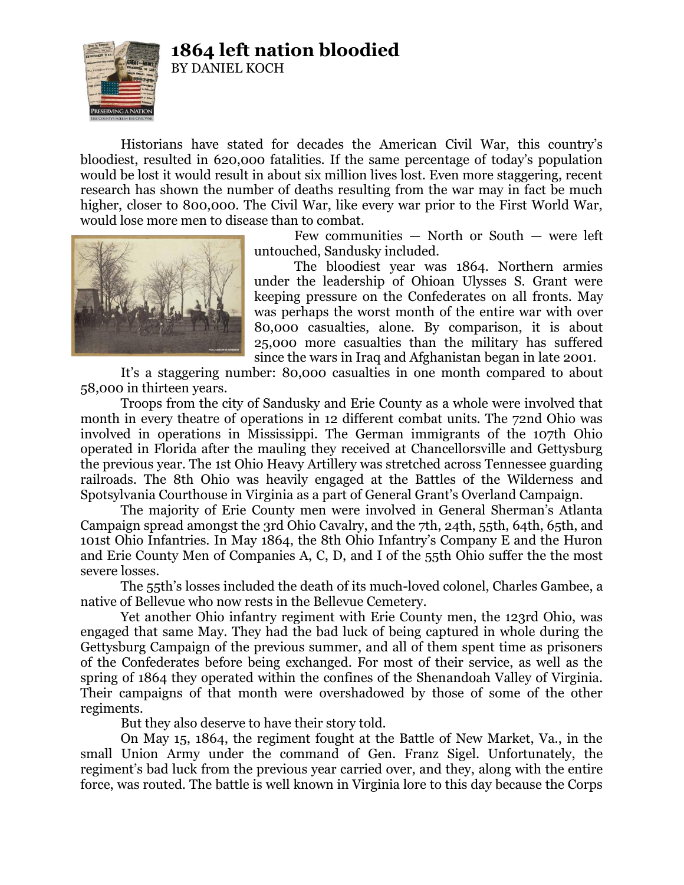## **1864 left nation bloodied**

BY DANIEL KOCH



Historians have stated for decades the American Civil War, this country's bloodiest, resulted in 620,000 fatalities. If the same percentage of today's population would be lost it would result in about six million lives lost. Even more staggering, recent research has shown the number of deaths resulting from the war may in fact be much higher, closer to 800,000. The Civil War, like every war prior to the First World War, would lose more men to disease than to combat.



Few communities — North or South — were left untouched, Sandusky included.

The bloodiest year was 1864. Northern armies under the leadership of Ohioan Ulysses S. Grant were keeping pressure on the Confederates on all fronts. May was perhaps the worst month of the entire war with over 80,000 casualties, alone. By comparison, it is about 25,000 more casualties than the military has suffered since the wars in Iraq and Afghanistan began in late 2001.

It's a staggering number: 80,000 casualties in one month compared to about 58,000 in thirteen years.

Troops from the city of Sandusky and Erie County as a whole were involved that month in every theatre of operations in 12 different combat units. The 72nd Ohio was involved in operations in Mississippi. The German immigrants of the 107th Ohio operated in Florida after the mauling they received at Chancellorsville and Gettysburg the previous year. The 1st Ohio Heavy Artillery was stretched across Tennessee guarding railroads. The 8th Ohio was heavily engaged at the Battles of the Wilderness and Spotsylvania Courthouse in Virginia as a part of General Grant's Overland Campaign.

The majority of Erie County men were involved in General Sherman's Atlanta Campaign spread amongst the 3rd Ohio Cavalry, and the 7th, 24th, 55th, 64th, 65th, and 101st Ohio Infantries. In May 1864, the 8th Ohio Infantry's Company E and the Huron and Erie County Men of Companies A, C, D, and I of the 55th Ohio suffer the the most severe losses.

The 55th's losses included the death of its much-loved colonel, Charles Gambee, a native of Bellevue who now rests in the Bellevue Cemetery.

Yet another Ohio infantry regiment with Erie County men, the 123rd Ohio, was engaged that same May. They had the bad luck of being captured in whole during the Gettysburg Campaign of the previous summer, and all of them spent time as prisoners of the Confederates before being exchanged. For most of their service, as well as the spring of 1864 they operated within the confines of the Shenandoah Valley of Virginia. Their campaigns of that month were overshadowed by those of some of the other regiments.

But they also deserve to have their story told.

On May 15, 1864, the regiment fought at the Battle of New Market, Va., in the small Union Army under the command of Gen. Franz Sigel. Unfortunately, the regiment's bad luck from the previous year carried over, and they, along with the entire force, was routed. The battle is well known in Virginia lore to this day because the Corps